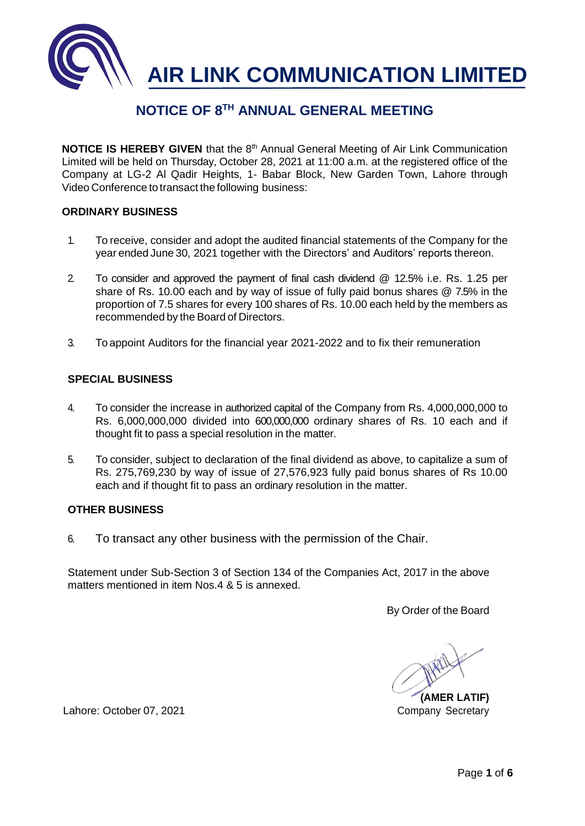

## **NOTICE OF 8TH ANNUAL GENERAL MEETING**

**NOTICE IS HEREBY GIVEN** that the 8<sup>th</sup> Annual General Meeting of Air Link Communication Limited will be held on Thursday, October 28, 2021 at 11:00 a.m. at the registered office of the Company at LG-2 Al Qadir Heights, 1- Babar Block, New Garden Town, Lahore through Video Conference to transact the following business:

#### **ORDINARY BUSINESS**

- 1. To receive, consider and adopt the audited financial statements of the Company for the year ended June 30, 2021 together with the Directors' and Auditors' reports thereon.
- 2. To consider and approved the payment of final cash dividend @ 12.5% i.e. Rs. 1.25 per share of Rs. 10.00 each and by way of issue of fully paid bonus shares @ 7.5% in the proportion of 7.5 shares for every 100 shares of Rs. 10.00 each held by the members as recommended by the Board of Directors.
- 3. To appoint Auditors for the financial year 2021-2022 and to fix their remuneration

#### **SPECIAL BUSINESS**

- 4. To consider the increase in authorized capital of the Company from Rs. 4,000,000,000 to Rs. 6,000,000,000 divided into 600,000,000 ordinary shares of Rs. 10 each and if thought fit to pass a special resolution in the matter.
- 5. To consider, subject to declaration of the final dividend as above, to capitalize a sum of Rs. 275,769,230 by way of issue of 27,576,923 fully paid bonus shares of Rs 10.00 each and if thought fit to pass an ordinary resolution in the matter.

#### **OTHER BUSINESS**

6. To transact any other business with the permission of the Chair.

Statement under Sub-Section 3 of Section 134 of the Companies Act, 2017 in the above matters mentioned in item Nos.4 & 5 is annexed.

By Order of the Board

**(AMER LATIF)**

Lahore: October 07, 2021 Company Secretary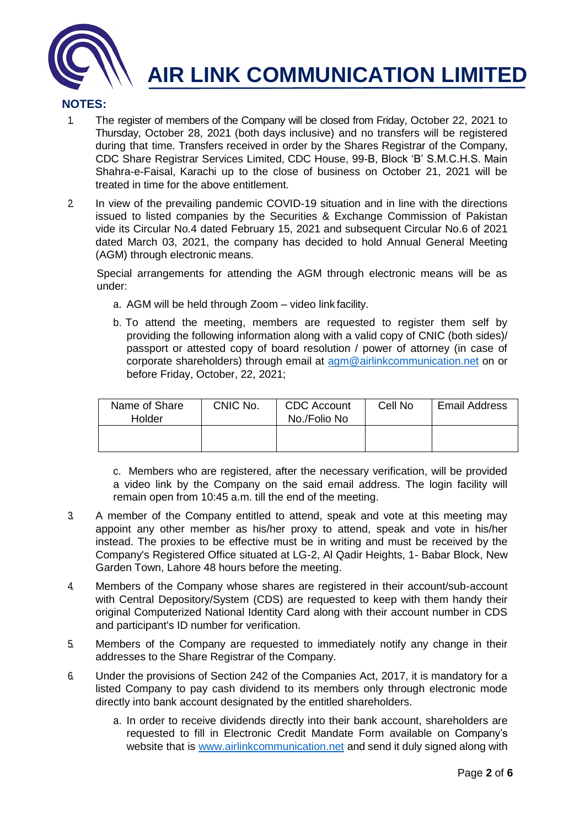

# **AIR LINK COMMUNICATION LIMITED**

### **NOTES:**

- 1. The register of members of the Company will be closed from Friday, October 22, 2021 to Thursday, October 28, 2021 (both days inclusive) and no transfers will be registered during that time. Transfers received in order by the Shares Registrar of the Company, CDC Share Registrar Services Limited, CDC House, 99-B, Block 'B' S.M.C.H.S. Main Shahra-e-Faisal, Karachi up to the close of business on October 21, 2021 will be treated in time for the above entitlement.
- 2. In view of the prevailing pandemic COVID-19 situation and in line with the directions issued to listed companies by the Securities & Exchange Commission of Pakistan vide its Circular No.4 dated February 15, 2021 and subsequent Circular No.6 of 2021 dated March 03, 2021, the company has decided to hold Annual General Meeting (AGM) through electronic means.

Special arrangements for attending the AGM through electronic means will be as under:

- a. AGM will be held through Zoom video link facility.
- b. To attend the meeting, members are requested to register them self by providing the following information along with a valid copy of CNIC (both sides)/ passport or attested copy of board resolution / power of attorney (in case of corporate shareholders) through email at [agm@airlinkcommunication.net](mailto:agm@airlinkcommunication.net) on or before Friday, October, 22, 2021;

| Name of Share<br>Holder | CNIC No. | <b>CDC</b> Account<br>No./Folio No | Cell No | <b>Email Address</b> |
|-------------------------|----------|------------------------------------|---------|----------------------|
|                         |          |                                    |         |                      |

c. Members who are registered, after the necessary verification, will be provided a video link by the Company on the said email address. The login facility will remain open from 10:45 a.m. till the end of the meeting.

- 3. A member of the Company entitled to attend, speak and vote at this meeting may appoint any other member as his/her proxy to attend, speak and vote in his/her instead. The proxies to be effective must be in writing and must be received by the Company's Registered Office situated at LG-2, Al Qadir Heights, 1- Babar Block, New Garden Town, Lahore 48 hours before the meeting.
- 4. Members of the Company whose shares are registered in their account/sub-account with Central Depository/System (CDS) are requested to keep with them handy their original Computerized National Identity Card along with their account number in CDS and participant's ID number for verification.
- 5. Members of the Company are requested to immediately notify any change in their addresses to the Share Registrar of the Company.
- 6. Under the provisions of Section 242 of the Companies Act, 2017, it is mandatory for a listed Company to pay cash dividend to its members only through electronic mode directly into bank account designated by the entitled shareholders.
	- a. In order to receive dividends directly into their bank account, shareholders are requested to fill in Electronic Credit Mandate Form available on Company's website that is [www.airlinkcommunication.net](http://www.airlinkcommunication.net/) and send it duly signed along with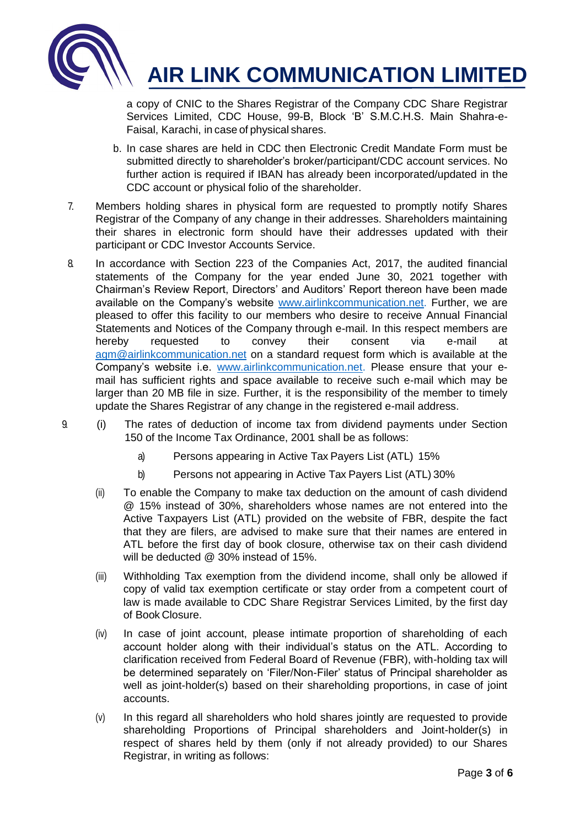

a copy of CNIC to the Shares Registrar of the Company CDC Share Registrar Services Limited, CDC House, 99-B, Block 'B' S.M.C.H.S. Main Shahra-e-Faisal, Karachi, in case of physical shares.

- b. In case shares are held in CDC then Electronic Credit Mandate Form must be submitted directly to shareholder's broker/participant/CDC account services. No further action is required if IBAN has already been incorporated/updated in the CDC account or physical folio of the shareholder.
- 7. Members holding shares in physical form are requested to promptly notify Shares Registrar of the Company of any change in their addresses. Shareholders maintaining their shares in electronic form should have their addresses updated with their participant or CDC Investor Accounts Service.
- 8. In accordance with Section 223 of the Companies Act, 2017, the audited financial statements of the Company for the year ended June 30, 2021 together with Chairman's Review Report, Directors' and Auditors' Report thereon have been made available on the Company's website [www.airlinkcommunication.net.](http://www.airlinkcommunication.net./) Further, we are pleased to offer this facility to our members who desire to receive Annual Financial Statements and Notices of the Company through e-mail. In this respect members are hereby requested to convey their consent via e-mail at [agm@airlinkcommunication.net](mailto:agm@airlinkcommunication.net) on a standard request form which is available at the Company's website i.e. www.airlinkcommunication.net. Please ensure that your email has sufficient rights and space available to receive such e-mail which may be larger than 20 MB file in size. Further, it is the responsibility of the member to timely update the Shares Registrar of any change in the registered e-mail address.
- 9. (i) The rates of deduction of income tax from dividend payments under Section 150 of the Income Tax Ordinance, 2001 shall be as follows:
	- a) Persons appearing in Active Tax Payers List (ATL) 15%
	- b) Persons not appearing in Active Tax Payers List (ATL) 30%
	- (ii) To enable the Company to make tax deduction on the amount of cash dividend @ 15% instead of 30%, shareholders whose names are not entered into the Active Taxpayers List (ATL) provided on the website of FBR, despite the fact that they are filers, are advised to make sure that their names are entered in ATL before the first day of book closure, otherwise tax on their cash dividend will be deducted @ 30% instead of 15%.
	- (iii) Withholding Tax exemption from the dividend income, shall only be allowed if copy of valid tax exemption certificate or stay order from a competent court of law is made available to CDC Share Registrar Services Limited, by the first day of Book Closure.
	- (iv) In case of joint account, please intimate proportion of shareholding of each account holder along with their individual's status on the ATL. According to clarification received from Federal Board of Revenue (FBR), with-holding tax will be determined separately on 'Filer/Non-Filer' status of Principal shareholder as well as joint-holder(s) based on their shareholding proportions, in case of joint accounts.
	- (v) In this regard all shareholders who hold shares jointly are requested to provide shareholding Proportions of Principal shareholders and Joint-holder(s) in respect of shares held by them (only if not already provided) to our Shares Registrar, in writing as follows: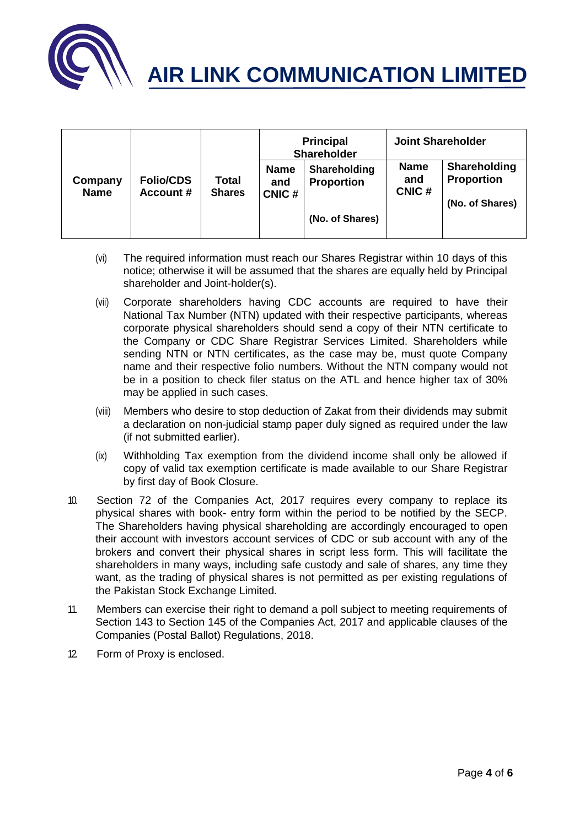

|                        |                                      |                               | <b>Principal</b><br><b>Shareholder</b> |                                   | <b>Joint Shareholder</b>    |                                                      |
|------------------------|--------------------------------------|-------------------------------|----------------------------------------|-----------------------------------|-----------------------------|------------------------------------------------------|
| Company<br><b>Name</b> | <b>Folio/CDS</b><br><b>Account #</b> | <b>Total</b><br><b>Shares</b> | <b>Name</b><br>and<br>CNIC#            | Shareholding<br><b>Proportion</b> | <b>Name</b><br>and<br>CNIC# | Shareholding<br><b>Proportion</b><br>(No. of Shares) |
|                        |                                      |                               |                                        | (No. of Shares)                   |                             |                                                      |

- (vi) The required information must reach our Shares Registrar within 10 days of this notice; otherwise it will be assumed that the shares are equally held by Principal shareholder and Joint-holder(s).
- (vii) Corporate shareholders having CDC accounts are required to have their National Tax Number (NTN) updated with their respective participants, whereas corporate physical shareholders should send a copy of their NTN certificate to the Company or CDC Share Registrar Services Limited. Shareholders while sending NTN or NTN certificates, as the case may be, must quote Company name and their respective folio numbers. Without the NTN company would not be in a position to check filer status on the ATL and hence higher tax of 30% may be applied in such cases.
- (viii) Members who desire to stop deduction of Zakat from their dividends may submit a declaration on non-judicial stamp paper duly signed as required under the law (if not submitted earlier).
- (ix) Withholding Tax exemption from the dividend income shall only be allowed if copy of valid tax exemption certificate is made available to our Share Registrar by first day of Book Closure.
- 10. Section 72 of the Companies Act, 2017 requires every company to replace its physical shares with book- entry form within the period to be notified by the SECP. The Shareholders having physical shareholding are accordingly encouraged to open their account with investors account services of CDC or sub account with any of the brokers and convert their physical shares in script less form. This will facilitate the shareholders in many ways, including safe custody and sale of shares, any time they want, as the trading of physical shares is not permitted as per existing regulations of the Pakistan Stock Exchange Limited.
- 11. Members can exercise their right to demand a poll subject to meeting requirements of Section 143 to Section 145 of the Companies Act, 2017 and applicable clauses of the Companies (Postal Ballot) Regulations, 2018.
- 12. Form of Proxy is enclosed.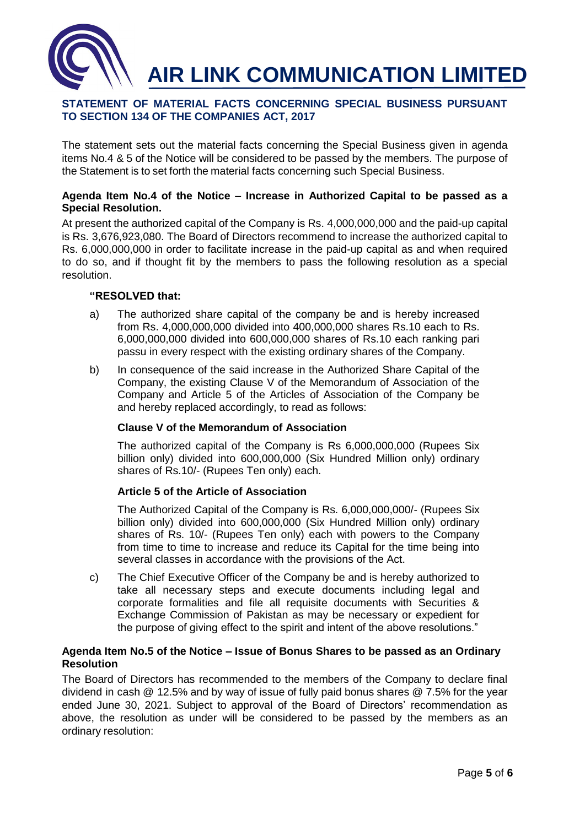

#### **STATEMENT OF MATERIAL FACTS CONCERNING SPECIAL BUSINESS PURSUANT TO SECTION 134 OF THE COMPANIES ACT, 2017**

The statement sets out the material facts concerning the Special Business given in agenda items No.4 & 5 of the Notice will be considered to be passed by the members. The purpose of the Statement is to set forth the material facts concerning such Special Business.

#### **Agenda Item No.4 of the Notice – Increase in Authorized Capital to be passed as a Special Resolution.**

At present the authorized capital of the Company is Rs. 4,000,000,000 and the paid-up capital is Rs. 3,676,923,080. The Board of Directors recommend to increase the authorized capital to Rs. 6,000,000,000 in order to facilitate increase in the paid-up capital as and when required to do so, and if thought fit by the members to pass the following resolution as a special resolution.

#### **"RESOLVED that:**

- a) The authorized share capital of the company be and is hereby increased from Rs. 4,000,000,000 divided into 400,000,000 shares Rs.10 each to Rs. 6,000,000,000 divided into 600,000,000 shares of Rs.10 each ranking pari passu in every respect with the existing ordinary shares of the Company.
- b) In consequence of the said increase in the Authorized Share Capital of the Company, the existing Clause V of the Memorandum of Association of the Company and Article 5 of the Articles of Association of the Company be and hereby replaced accordingly, to read as follows:

#### **Clause V of the Memorandum of Association**

The authorized capital of the Company is Rs 6,000,000,000 (Rupees Six billion only) divided into 600,000,000 (Six Hundred Million only) ordinary shares of Rs.10/- (Rupees Ten only) each.

#### **Article 5 of the Article of Association**

The Authorized Capital of the Company is Rs. 6,000,000,000/- (Rupees Six billion only) divided into 600,000,000 (Six Hundred Million only) ordinary shares of Rs. 10/- (Rupees Ten only) each with powers to the Company from time to time to increase and reduce its Capital for the time being into several classes in accordance with the provisions of the Act.

c) The Chief Executive Officer of the Company be and is hereby authorized to take all necessary steps and execute documents including legal and corporate formalities and file all requisite documents with Securities & Exchange Commission of Pakistan as may be necessary or expedient for the purpose of giving effect to the spirit and intent of the above resolutions."

#### **Agenda Item No.5 of the Notice – Issue of Bonus Shares to be passed as an Ordinary Resolution**

The Board of Directors has recommended to the members of the Company to declare final dividend in cash @ 12.5% and by way of issue of fully paid bonus shares @ 7.5% for the year ended June 30, 2021. Subject to approval of the Board of Directors' recommendation as above, the resolution as under will be considered to be passed by the members as an ordinary resolution: